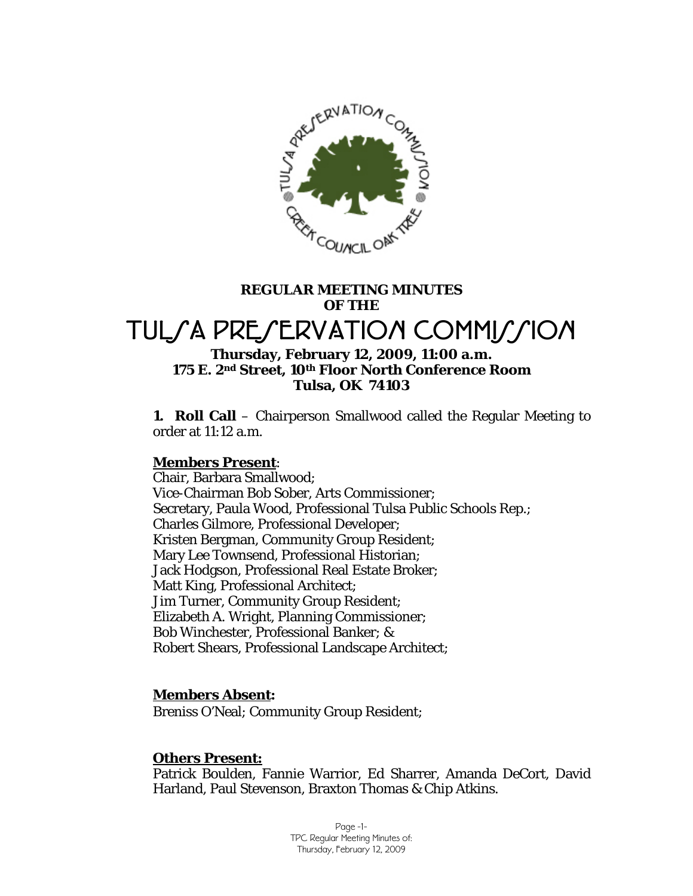

# **REGULAR MEETING MINUTES OF THE**

# TULSA PRESERVATION COMMISSION

### **Thursday, February 12, 2009, 11:00 a.m. 175 E. 2nd Street, 10th Floor North Conference Room Tulsa, OK 74103**

**1. Roll Call** – Chairperson Smallwood called the Regular Meeting to order at 11:12 a.m.

### **Members Present**:

Chair, Barbara Smallwood; Vice-Chairman Bob Sober, Arts Commissioner; Secretary, Paula Wood, Professional Tulsa Public Schools Rep.; Charles Gilmore, Professional Developer; Kristen Bergman, Community Group Resident; Mary Lee Townsend, Professional Historian; Jack Hodgson, Professional Real Estate Broker; Matt King, Professional Architect; Jim Turner, Community Group Resident; Elizabeth A. Wright, Planning Commissioner; Bob Winchester, Professional Banker; & Robert Shears, Professional Landscape Architect;

### **Members Absent:**

Breniss O'Neal; Community Group Resident;

### **Others Present:**

Patrick Boulden, Fannie Warrior, Ed Sharrer, Amanda DeCort, David Harland, Paul Stevenson, Braxton Thomas & Chip Atkins.

> Page -1- TPC Regular Meeting Minutes of: Thursday, February 12, 2009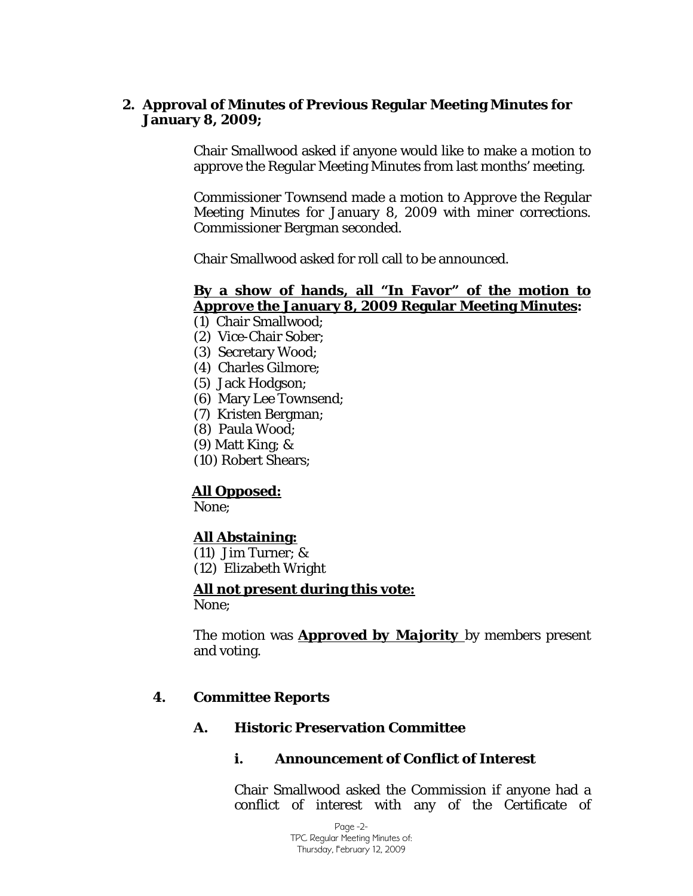### **2. Approval of Minutes of Previous Regular Meeting Minutes for January 8, 2009;**

Chair Smallwood asked if anyone would like to make a motion to approve the Regular Meeting Minutes from last months' meeting.

Commissioner Townsend made a motion to *Approve* the Regular Meeting Minutes for January 8, 2009 with miner corrections. Commissioner Bergman seconded.

Chair Smallwood asked for roll call to be announced.

# **By a show of hands, all "In Favor" of the motion to**  *Approve* **the January 8, 2009 Regular Meeting Minutes:**

- (1) Chair Smallwood;
- (2) Vice-Chair Sober;
- (3) Secretary Wood;
- (4) Charles Gilmore;
- (5) Jack Hodgson;
- (6) Mary Lee Townsend;
- (7) Kristen Bergman;
- (8) Paula Wood;
- (9) Matt King; &
- (10) Robert Shears;

### **All Opposed:**

None;

# **All Abstaining:**

- (11) Jim Turner; &
- (12) Elizabeth Wright

### **All not present during this vote:**

None;

The motion was *Approved by Majority* by members present and voting.

### **4. Committee Reports**

### **A. Historic Preservation Committee**

### **i. Announcement of Conflict of Interest**

Chair Smallwood asked the Commission if anyone had a conflict of interest with any of the Certificate of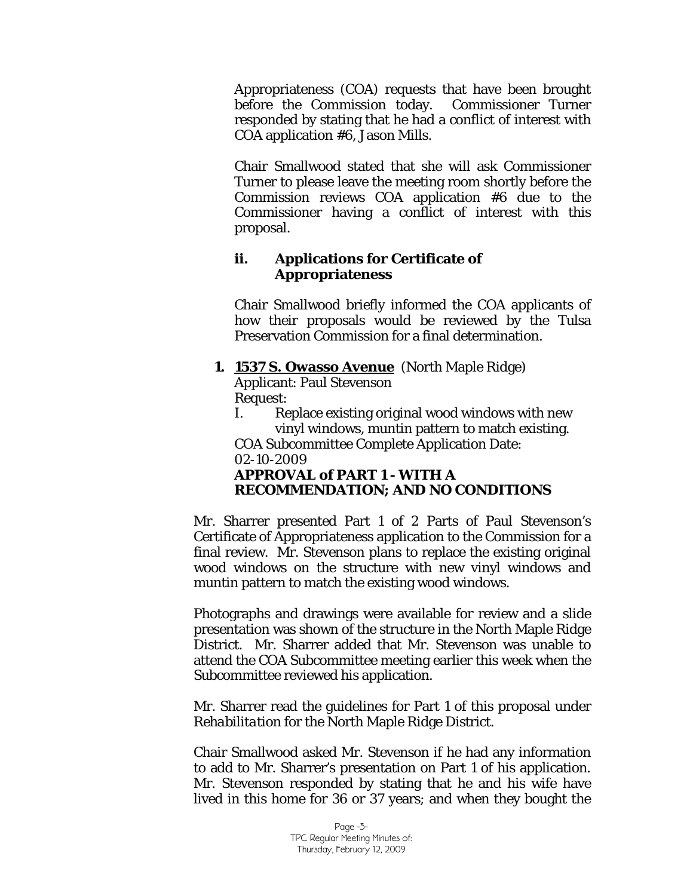Appropriateness (COA) requests that have been brought before the Commission today. Commissioner Turner responded by stating that he had a conflict of interest with COA application #6, Jason Mills.

Chair Smallwood stated that she will ask Commissioner Turner to please leave the meeting room shortly before the Commission reviews COA application #6 due to the Commissioner having a conflict of interest with this proposal.

### **ii. Applications for Certificate of Appropriateness**

Chair Smallwood briefly informed the COA applicants of how their proposals would be reviewed by the Tulsa Preservation Commission for a final determination.

# **1. 1537 S. Owasso Avenue** (North Maple Ridge)

Applicant: Paul Stevenson Request:

I. Replace existing original wood windows with new vinyl windows, muntin pattern to match existing.

COA Subcommittee Complete Application Date: 02-10-2009

# *APPROVAL of PART 1 - WITH A RECOMMENDATION; AND NO CONDITIONS*

Mr. Sharrer presented Part 1 of 2 Parts of Paul Stevenson's Certificate of Appropriateness application to the Commission for a final review. Mr. Stevenson plans to replace the existing original wood windows on the structure with new vinyl windows and muntin pattern to match the existing wood windows.

Photographs and drawings were available for review and a slide presentation was shown of the structure in the North Maple Ridge District. Mr. Sharrer added that Mr. Stevenson was unable to attend the COA Subcommittee meeting earlier this week when the Subcommittee reviewed his application.

Mr. Sharrer read the guidelines for Part 1 of this proposal under *Rehabilitation* for the North Maple Ridge District.

Chair Smallwood asked Mr. Stevenson if he had any information to add to Mr. Sharrer's presentation on Part 1 of his application. Mr. Stevenson responded by stating that he and his wife have lived in this home for 36 or 37 years; and when they bought the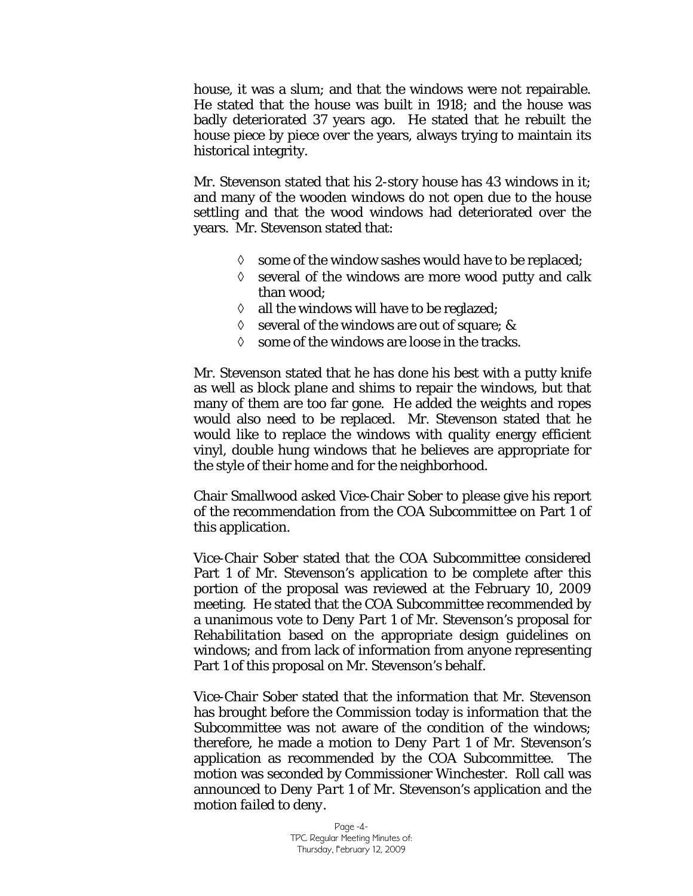house, it was a slum; and that the windows were not repairable. He stated that the house was built in 1918; and the house was badly deteriorated 37 years ago. He stated that he rebuilt the house piece by piece over the years, always trying to maintain its historical integrity.

Mr. Stevenson stated that his 2-story house has 43 windows in it; and many of the wooden windows do not open due to the house settling and that the wood windows had deteriorated over the years. Mr. Stevenson stated that:

- ◊ some of the window sashes would have to be replaced;
- $\Diamond$  several of the windows are more wood putty and calk than wood;
- $\Diamond$  all the windows will have to be reglazed;
- $\Diamond$  several of the windows are out of square; &
- $\Diamond$  some of the windows are loose in the tracks.

Mr. Stevenson stated that he has done his best with a putty knife as well as block plane and shims to repair the windows, but that many of them are too far gone. He added the weights and ropes would also need to be replaced. Mr. Stevenson stated that he would like to replace the windows with quality energy efficient vinyl, double hung windows that he believes are appropriate for the style of their home and for the neighborhood.

Chair Smallwood asked Vice-Chair Sober to please give his report of the recommendation from the COA Subcommittee on Part 1 of this application.

Vice-Chair Sober stated that the COA Subcommittee considered Part 1 of Mr. Stevenson's application to be complete after this portion of the proposal was reviewed at the February 10, 2009 meeting. He stated that the COA Subcommittee recommended by a unanimous vote to *Deny Part 1* of Mr. Stevenson's proposal for *Rehabilitation* based on the appropriate design guidelines on windows; and from lack of information from anyone representing Part 1 of this proposal on Mr. Stevenson's behalf.

Vice-Chair Sober stated that the information that Mr. Stevenson has brought before the Commission today is information that the Subcommittee was not aware of the condition of the windows; therefore, he made a motion to *Deny Part 1* of Mr. Stevenson's application as recommended by the COA Subcommittee. The motion was seconded by Commissioner Winchester. Roll call was announced to *Deny Part 1* of Mr. Stevenson's application and the motion *failed to deny*.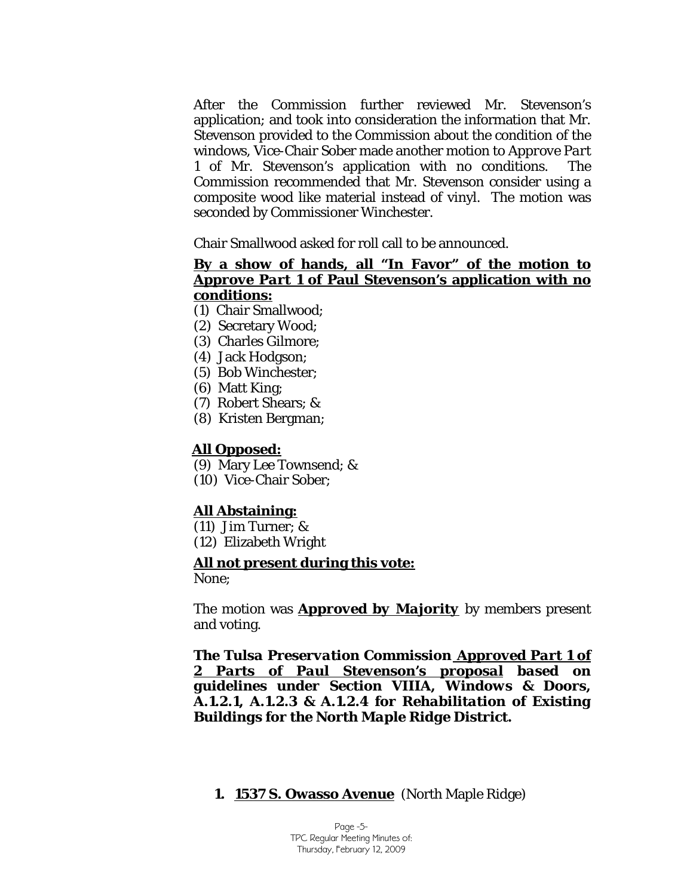After the Commission further reviewed Mr. Stevenson's application; and took into consideration the information that Mr. Stevenson provided to the Commission about the condition of the windows, Vice-Chair Sober made another motion to *Approve Part 1* of Mr. Stevenson's application with no conditions. The Commission recommended that Mr. Stevenson consider using a composite wood like material instead of vinyl. The motion was seconded by Commissioner Winchester.

Chair Smallwood asked for roll call to be announced.

### **By a show of hands, all "In Favor" of the motion to**  *Approve Part 1* **of Paul Stevenson's application with no conditions:**

- (1) Chair Smallwood;
- (2) Secretary Wood;
- (3) Charles Gilmore;
- (4) Jack Hodgson;
- (5) Bob Winchester;
- (6) Matt King;
- (7) Robert Shears; &
- (8) Kristen Bergman;

### **All Opposed:**

- (9) Mary Lee Townsend; &
- (10) Vice-Chair Sober;

### **All Abstaining:**

- (11) Jim Turner; &
- (12) Elizabeth Wright

### **All not present during this vote:**

None;

The motion was *Approved by Majority* by members present and voting.

*The Tulsa Preservation Commission Approved Part 1 of 2 Parts of Paul Stevenson's proposal based on guidelines under Section VIIIA, Windows & Doors, A.1.2.1, A.1.2.3 & A.1.2.4 for Rehabilitation of Existing Buildings for the North Maple Ridge District.*

### **1. 1537 S. Owasso Avenue** (North Maple Ridge)

Page -5- TPC Regular Meeting Minutes of: Thursday, February 12, 2009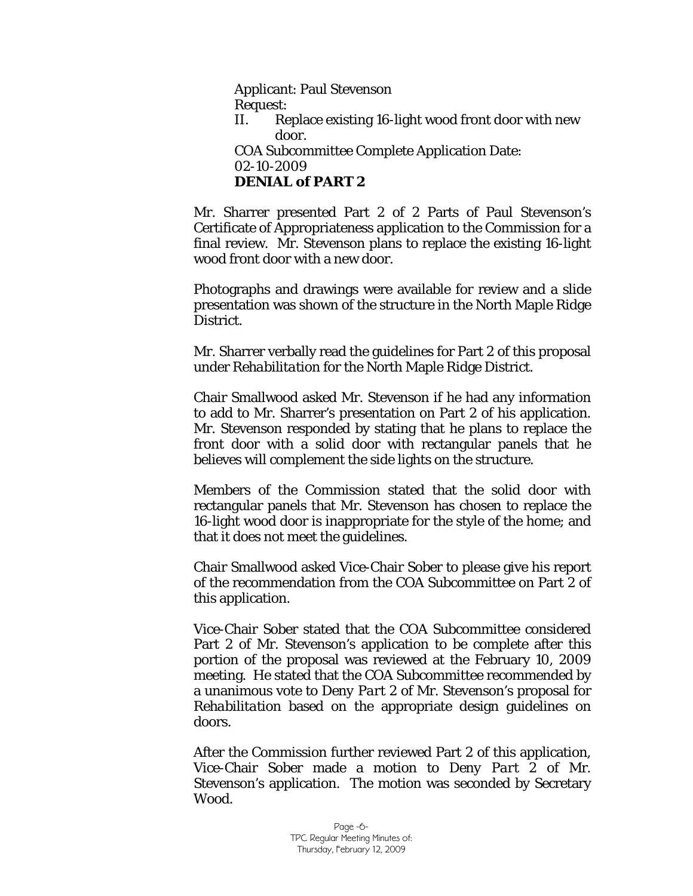Applicant: Paul Stevenson Request: II. Replace existing 16-light wood front door with new door. COA Subcommittee Complete Application Date: 02-10-2009 *DENIAL of PART 2* 

Mr. Sharrer presented Part 2 of 2 Parts of Paul Stevenson's Certificate of Appropriateness application to the Commission for a final review. Mr. Stevenson plans to replace the existing 16-light wood front door with a new door.

Photographs and drawings were available for review and a slide presentation was shown of the structure in the North Maple Ridge District.

Mr. Sharrer verbally read the guidelines for Part 2 of this proposal under *Rehabilitation* for the North Maple Ridge District.

Chair Smallwood asked Mr. Stevenson if he had any information to add to Mr. Sharrer's presentation on Part 2 of his application. Mr. Stevenson responded by stating that he plans to replace the front door with a solid door with rectangular panels that he believes will complement the side lights on the structure.

Members of the Commission stated that the solid door with rectangular panels that Mr. Stevenson has chosen to replace the 16-light wood door is inappropriate for the style of the home; and that it does not meet the guidelines.

Chair Smallwood asked Vice-Chair Sober to please give his report of the recommendation from the COA Subcommittee on Part 2 of this application.

Vice-Chair Sober stated that the COA Subcommittee considered Part 2 of Mr. Stevenson's application to be complete after this portion of the proposal was reviewed at the February 10, 2009 meeting. He stated that the COA Subcommittee recommended by a unanimous vote to *Deny Part 2* of Mr. Stevenson's proposal for *Rehabilitation* based on the appropriate design guidelines on doors.

After the Commission further reviewed Part 2 of this application, Vice-Chair Sober made a motion to *Deny Part 2* of Mr. Stevenson's application. The motion was seconded by Secretary Wood.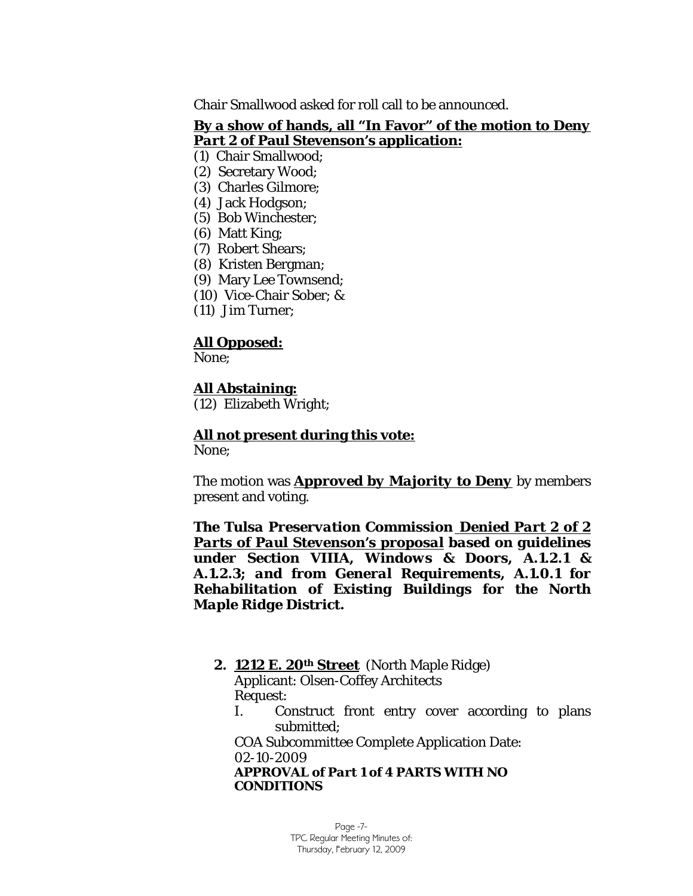Chair Smallwood asked for roll call to be announced.

### **By a show of hands, all "In Favor" of the motion to** *Deny Part 2* **of Paul Stevenson's application:**

- (1) Chair Smallwood;
- (2) Secretary Wood;
- (3) Charles Gilmore;
- (4) Jack Hodgson;
- (5) Bob Winchester;
- (6) Matt King;
- (7) Robert Shears;
- (8) Kristen Bergman;
- (9) Mary Lee Townsend;
- (10) Vice-Chair Sober; &
- (11) Jim Turner;

### **All Opposed:**

None;

# **All Abstaining:**

(12) Elizabeth Wright;

# **All not present during this vote:**

None;

The motion was *Approved by Majority to Deny* by members present and voting.

*The Tulsa Preservation Commission Denied Part 2 of 2 Parts of Paul Stevenson's proposal based on guidelines under Section VIIIA, Windows & Doors, A.1.2.1 & A.1.2.3; and from General Requirements, A.1.0.1 for Rehabilitation of Existing Buildings for the North Maple Ridge District.*

### **2. 1212 E. 20th Street** (North Maple Ridge)

Applicant: Olsen-Coffey Architects Request:

I. Construct front entry cover according to plans submitted;

COA Subcommittee Complete Application Date: 02-10-2009 *APPROVAL of Part 1 of 4 PARTS WITH NO CONDITIONS*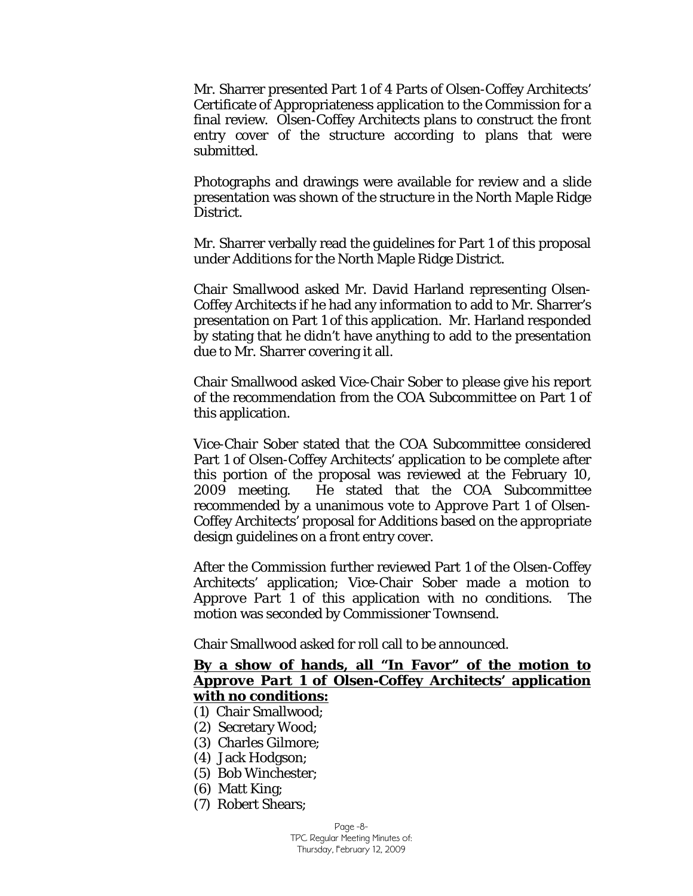Mr. Sharrer presented Part 1 of 4 Parts of Olsen-Coffey Architects' Certificate of Appropriateness application to the Commission for a final review. Olsen-Coffey Architects plans to construct the front entry cover of the structure according to plans that were submitted.

Photographs and drawings were available for review and a slide presentation was shown of the structure in the North Maple Ridge District.

Mr. Sharrer verbally read the guidelines for Part 1 of this proposal under *Additions* for the North Maple Ridge District.

Chair Smallwood asked Mr. David Harland representing Olsen-Coffey Architects if he had any information to add to Mr. Sharrer's presentation on Part 1 of this application. Mr. Harland responded by stating that he didn't have anything to add to the presentation due to Mr. Sharrer covering it all.

Chair Smallwood asked Vice-Chair Sober to please give his report of the recommendation from the COA Subcommittee on Part 1 of this application.

Vice-Chair Sober stated that the COA Subcommittee considered Part 1 of Olsen-Coffey Architects' application to be complete after this portion of the proposal was reviewed at the February 10, 2009 meeting. He stated that the COA Subcommittee recommended by a unanimous vote to *Approve Part 1* of Olsen-Coffey Architects' proposal for *Additions* based on the appropriate design guidelines on a front entry cover.

After the Commission further reviewed Part 1 of the Olsen-Coffey Architects' application; Vice-Chair Sober made a motion to *Approve Part 1* of this application with no conditions. The motion was seconded by Commissioner Townsend.

Chair Smallwood asked for roll call to be announced.

### **By a show of hands, all "In Favor" of the motion to**  *Approve Part 1* **of Olsen-Coffey Architects' application with no conditions:**

- (1) Chair Smallwood;
- (2) Secretary Wood;
- (3) Charles Gilmore;
- (4) Jack Hodgson;
- (5) Bob Winchester;
- (6) Matt King;
- (7) Robert Shears;

Page -8- TPC Regular Meeting Minutes of: Thursday, February 12, 2009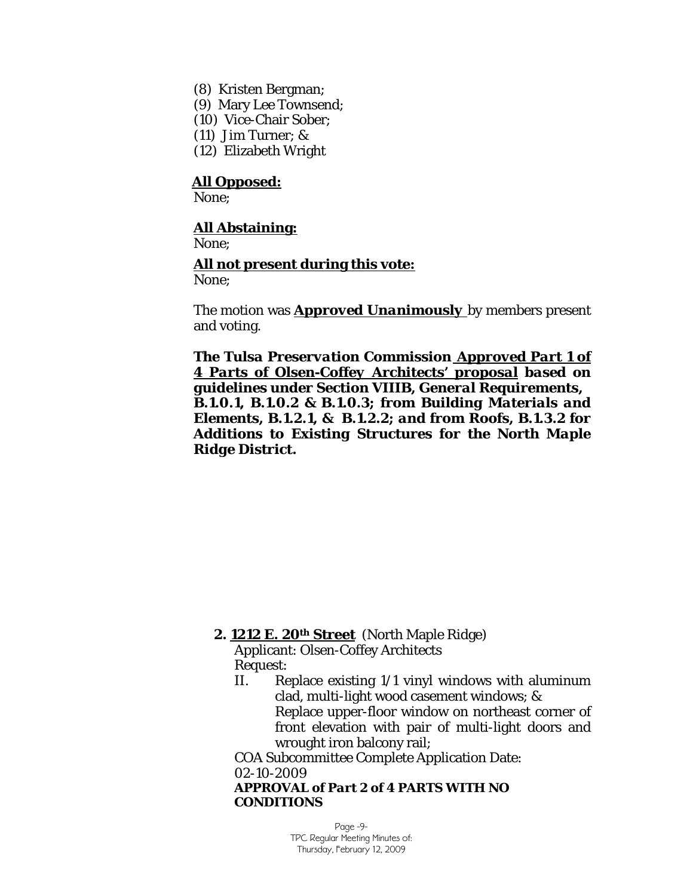- (8) Kristen Bergman;
- (9) Mary Lee Townsend;
- (10) Vice-Chair Sober;
- (11) Jim Turner; &
- (12) Elizabeth Wright

None;

### **All Abstaining:**

None;

### **All not present during this vote:**

None;

The motion was *Approved Unanimously* by members present and voting.

*The Tulsa Preservation Commission Approved Part 1 of 4 Parts of Olsen-Coffey Architects' proposal based on guidelines under Section VIIIB, General Requirements, B.1.0.1, B.1.0.2 & B.1.0.3; from Building Materials and Elements, B.1.2.1, & B.1.2.2; and from Roofs, B.1.3.2 for Additions to Existing Structures for the North Maple Ridge District.*

### **2. 1212 E. 20th Street** (North Maple Ridge)

Applicant: Olsen-Coffey Architects Request:

II. Replace existing 1/1 vinyl windows with aluminum clad, multi-light wood casement windows; & Replace upper-floor window on northeast corner of front elevation with pair of multi-light doors and wrought iron balcony rail;

COA Subcommittee Complete Application Date: 02-10-2009 *APPROVAL of Part 2 of 4 PARTS WITH NO* 

*CONDITIONS*

Page -9- TPC Regular Meeting Minutes of: Thursday, February 12, 2009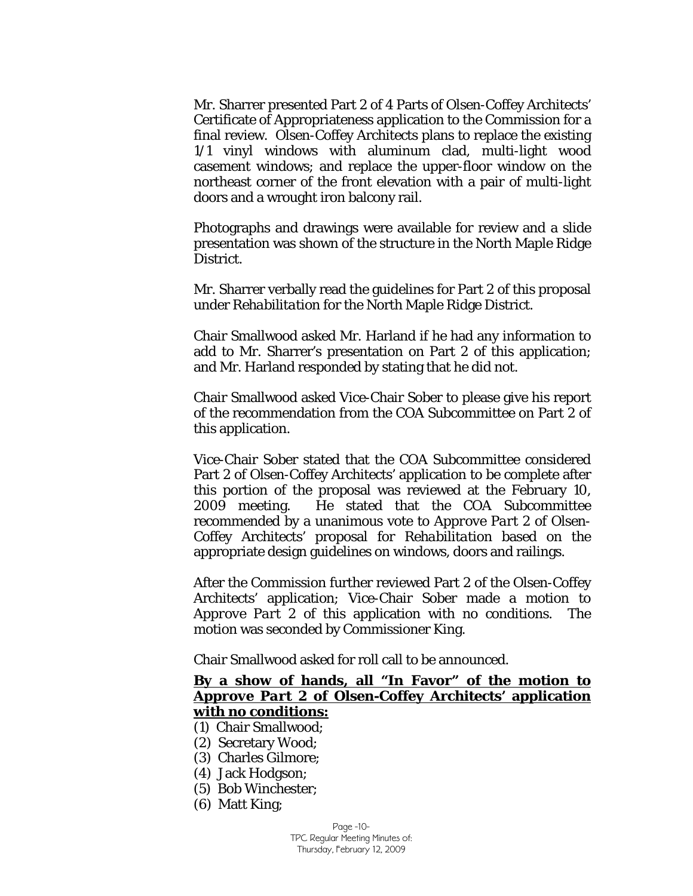Mr. Sharrer presented Part 2 of 4 Parts of Olsen-Coffey Architects' Certificate of Appropriateness application to the Commission for a final review. Olsen-Coffey Architects plans to replace the existing 1/1 vinyl windows with aluminum clad, multi-light wood casement windows; and replace the upper-floor window on the northeast corner of the front elevation with a pair of multi-light doors and a wrought iron balcony rail.

Photographs and drawings were available for review and a slide presentation was shown of the structure in the North Maple Ridge District.

Mr. Sharrer verbally read the guidelines for Part 2 of this proposal under *Rehabilitation* for the North Maple Ridge District.

Chair Smallwood asked Mr. Harland if he had any information to add to Mr. Sharrer's presentation on Part 2 of this application; and Mr. Harland responded by stating that he did not.

Chair Smallwood asked Vice-Chair Sober to please give his report of the recommendation from the COA Subcommittee on Part 2 of this application.

Vice-Chair Sober stated that the COA Subcommittee considered Part 2 of Olsen-Coffey Architects' application to be complete after this portion of the proposal was reviewed at the February 10, 2009 meeting. He stated that the COA Subcommittee recommended by a unanimous vote to *Approve Part 2* of Olsen-Coffey Architects' proposal for *Rehabilitation* based on the appropriate design guidelines on windows, doors and railings.

After the Commission further reviewed Part 2 of the Olsen-Coffey Architects' application; Vice-Chair Sober made a motion to *Approve Part 2* of this application with no conditions. The motion was seconded by Commissioner King.

Chair Smallwood asked for roll call to be announced.

# **By a show of hands, all "In Favor" of the motion to**  *Approve Part 2* **of Olsen-Coffey Architects' application with no conditions:**

- (1) Chair Smallwood;
- (2) Secretary Wood;
- (3) Charles Gilmore;
- (4) Jack Hodgson;
- (5) Bob Winchester;
- (6) Matt King;

Page -10- TPC Regular Meeting Minutes of: Thursday, February 12, 2009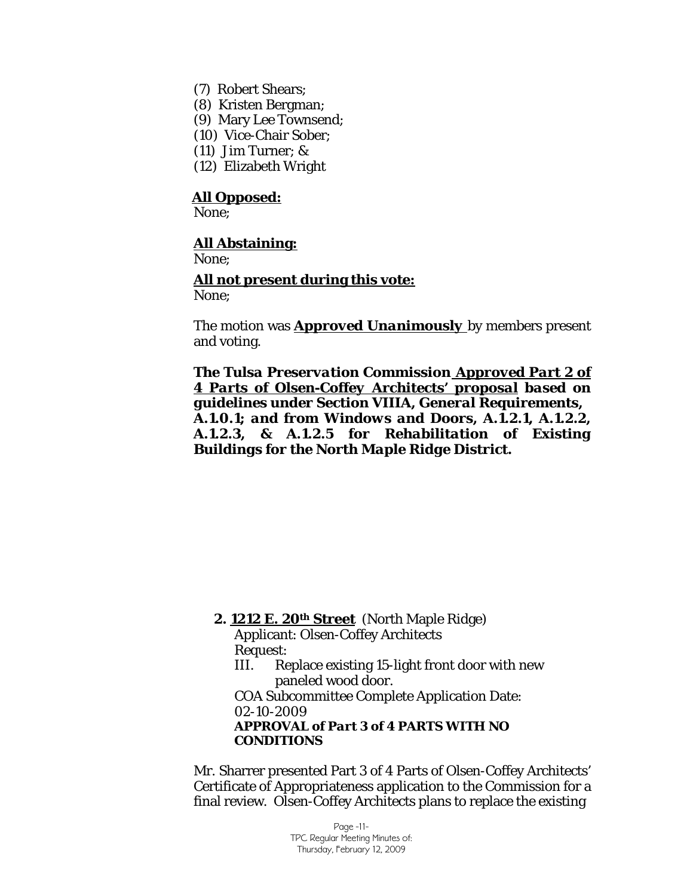- (7) Robert Shears;
- (8) Kristen Bergman;
- (9) Mary Lee Townsend;
- (10) Vice-Chair Sober;
- (11) Jim Turner; &
- (12) Elizabeth Wright

None;

### **All Abstaining:**

None;

### **All not present during this vote:** None;

The motion was *Approved Unanimously* by members present and voting.

*The Tulsa Preservation Commission Approved Part 2 of 4 Parts of Olsen-Coffey Architects' proposal based on guidelines under Section VIIIA, General Requirements, A.1.0.1; and from Windows and Doors, A.1.2.1, A.1.2.2, A.1.2.3, & A.1.2.5 for Rehabilitation of Existing Buildings for the North Maple Ridge District.*

### **2. 1212 E. 20th Street** (North Maple Ridge)

Applicant: Olsen-Coffey Architects Request:

III. Replace existing 15-light front door with new paneled wood door.

COA Subcommittee Complete Application Date: 02-10-2009 *APPROVAL of Part 3 of 4 PARTS WITH NO* 

# *CONDITIONS*

Mr. Sharrer presented Part 3 of 4 Parts of Olsen-Coffey Architects' Certificate of Appropriateness application to the Commission for a final review. Olsen-Coffey Architects plans to replace the existing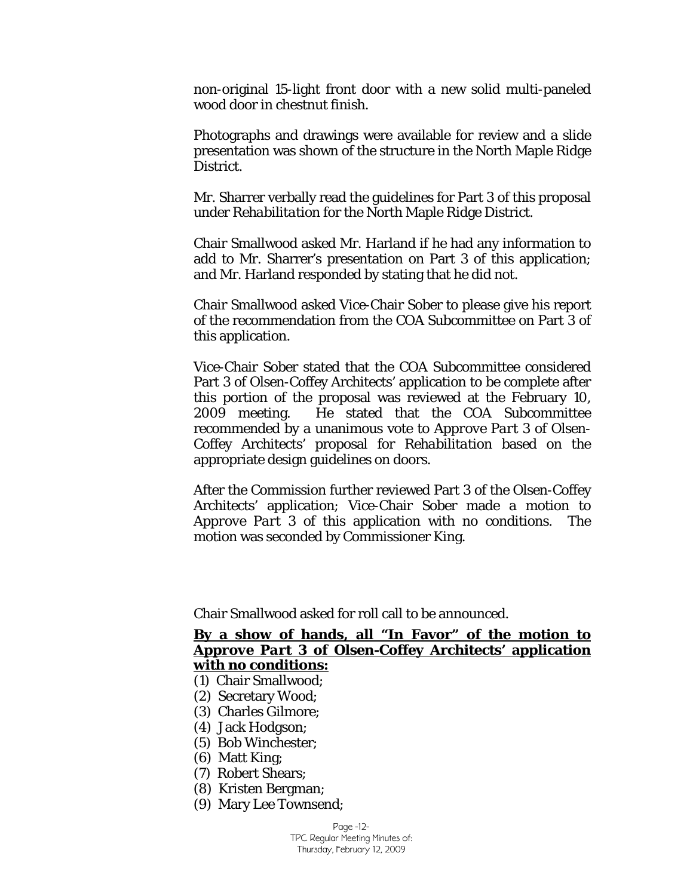non-original 15-light front door with a new solid multi-paneled wood door in chestnut finish.

Photographs and drawings were available for review and a slide presentation was shown of the structure in the North Maple Ridge District.

Mr. Sharrer verbally read the guidelines for Part 3 of this proposal under *Rehabilitation* for the North Maple Ridge District.

Chair Smallwood asked Mr. Harland if he had any information to add to Mr. Sharrer's presentation on Part 3 of this application; and Mr. Harland responded by stating that he did not.

Chair Smallwood asked Vice-Chair Sober to please give his report of the recommendation from the COA Subcommittee on Part 3 of this application.

Vice-Chair Sober stated that the COA Subcommittee considered Part 3 of Olsen-Coffey Architects' application to be complete after this portion of the proposal was reviewed at the February 10, 2009 meeting. He stated that the COA Subcommittee recommended by a unanimous vote to *Approve Part 3* of Olsen-Coffey Architects' proposal for *Rehabilitation* based on the appropriate design guidelines on doors.

After the Commission further reviewed Part 3 of the Olsen-Coffey Architects' application; Vice-Chair Sober made a motion to *Approve Part 3* of this application with no conditions. The motion was seconded by Commissioner King.

Chair Smallwood asked for roll call to be announced.

### **By a show of hands, all "In Favor" of the motion to**  *Approve Part 3* **of Olsen-Coffey Architects' application with no conditions:**

- (1) Chair Smallwood;
- (2) Secretary Wood;
- (3) Charles Gilmore;
- (4) Jack Hodgson;
- (5) Bob Winchester;
- (6) Matt King;
- (7) Robert Shears;
- (8) Kristen Bergman;
- (9) Mary Lee Townsend;

Page -12- TPC Regular Meeting Minutes of: Thursday, February 12, 2009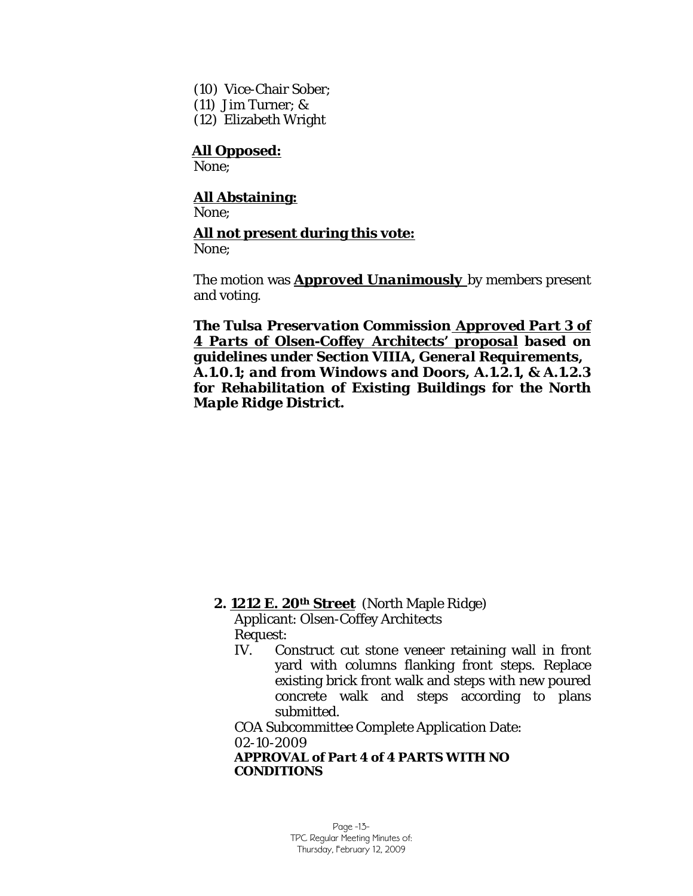- (10) Vice-Chair Sober;
- (11) Jim Turner; &
- (12) Elizabeth Wright

None;

# **All Abstaining:**

None;

### **All not present during this vote:**

None;

The motion was *Approved Unanimously* by members present and voting.

*The Tulsa Preservation Commission Approved Part 3 of 4 Parts of Olsen-Coffey Architects' proposal based on guidelines under Section VIIIA, General Requirements, A.1.0.1; and from Windows and Doors, A.1.2.1, & A.1.2.3 for Rehabilitation of Existing Buildings for the North Maple Ridge District.*

### **2. 1212 E. 20th Street** (North Maple Ridge)

Applicant: Olsen-Coffey Architects Request:

IV. Construct cut stone veneer retaining wall in front yard with columns flanking front steps. Replace existing brick front walk and steps with new poured concrete walk and steps according to plans submitted.

COA Subcommittee Complete Application Date: 02-10-2009 *APPROVAL of Part 4 of 4 PARTS WITH NO CONDITIONS*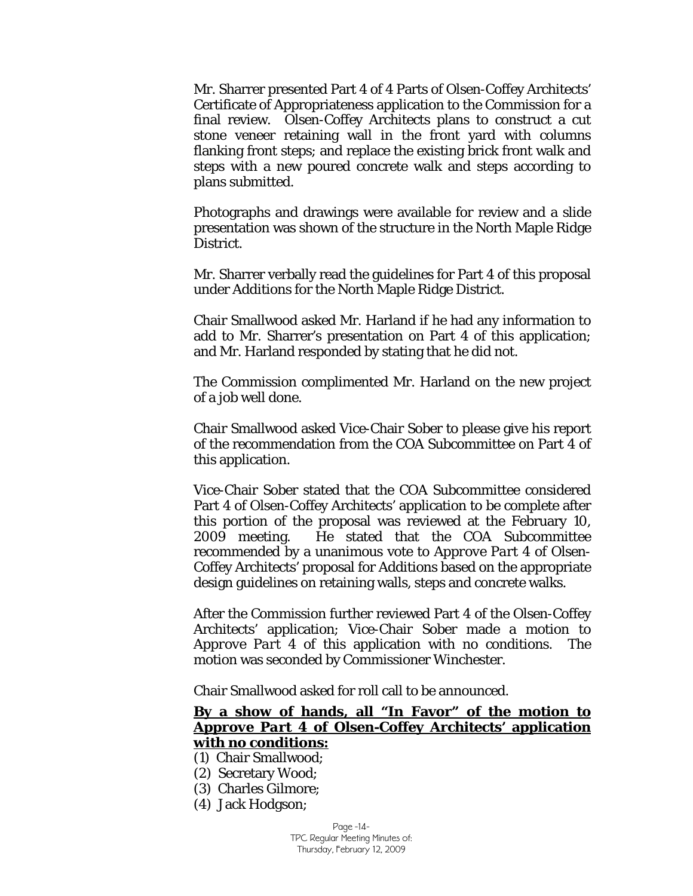Mr. Sharrer presented Part 4 of 4 Parts of Olsen-Coffey Architects' Certificate of Appropriateness application to the Commission for a final review. Olsen-Coffey Architects plans to construct a cut stone veneer retaining wall in the front yard with columns flanking front steps; and replace the existing brick front walk and steps with a new poured concrete walk and steps according to plans submitted.

Photographs and drawings were available for review and a slide presentation was shown of the structure in the North Maple Ridge District.

Mr. Sharrer verbally read the guidelines for Part 4 of this proposal under *Additions* for the North Maple Ridge District.

Chair Smallwood asked Mr. Harland if he had any information to add to Mr. Sharrer's presentation on Part 4 of this application; and Mr. Harland responded by stating that he did not.

The Commission complimented Mr. Harland on the new project of a job well done.

Chair Smallwood asked Vice-Chair Sober to please give his report of the recommendation from the COA Subcommittee on Part 4 of this application.

Vice-Chair Sober stated that the COA Subcommittee considered Part 4 of Olsen-Coffey Architects' application to be complete after this portion of the proposal was reviewed at the February 10, 2009 meeting. He stated that the COA Subcommittee recommended by a unanimous vote to *Approve Part 4* of Olsen-Coffey Architects' proposal for *Additions* based on the appropriate design guidelines on retaining walls, steps and concrete walks.

After the Commission further reviewed Part 4 of the Olsen-Coffey Architects' application; Vice-Chair Sober made a motion to *Approve Part 4* of this application with no conditions. The motion was seconded by Commissioner Winchester.

Chair Smallwood asked for roll call to be announced.

# **By a show of hands, all "In Favor" of the motion to**  *Approve Part 4* **of Olsen-Coffey Architects' application with no conditions:**

- (1) Chair Smallwood;
- (2) Secretary Wood;
- (3) Charles Gilmore;
- (4) Jack Hodgson;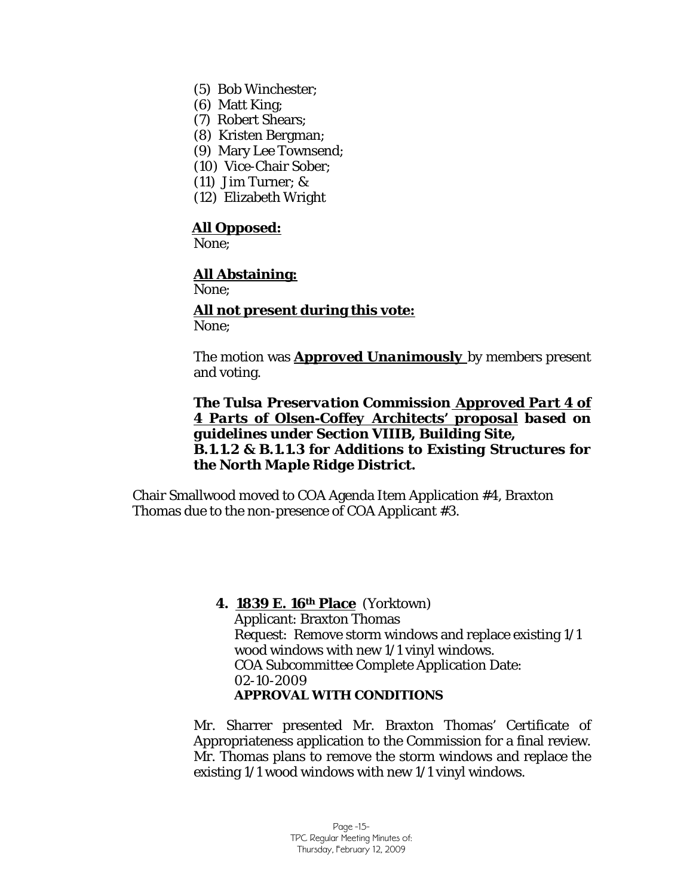- (5) Bob Winchester;
- (6) Matt King;
- (7) Robert Shears;
- (8) Kristen Bergman;
- (9) Mary Lee Townsend;
- (10) Vice-Chair Sober;
- (11) Jim Turner; &
- (12) Elizabeth Wright

None;

### **All Abstaining:**

None;

**All not present during this vote:** None;

The motion was *Approved Unanimously* by members present and voting.

*The Tulsa Preservation Commission Approved Part 4 of 4 Parts of Olsen-Coffey Architects' proposal based on guidelines under Section VIIIB, Building Site, B.1.1.2 & B.1.1.3 for Additions to Existing Structures for the North Maple Ridge District.*

Chair Smallwood moved to COA Agenda Item Application #4, Braxton Thomas due to the non-presence of COA Applicant #3.

### **4. 1839 E. 16th Place** (Yorktown)

Applicant: Braxton Thomas Request: Remove storm windows and replace existing 1/1 wood windows with new 1/1 vinyl windows. COA Subcommittee Complete Application Date: 02-10-2009 *APPROVAL WITH CONDITIONS*

Mr. Sharrer presented Mr. Braxton Thomas' Certificate of Appropriateness application to the Commission for a final review. Mr. Thomas plans to remove the storm windows and replace the existing 1/1 wood windows with new 1/1 vinyl windows.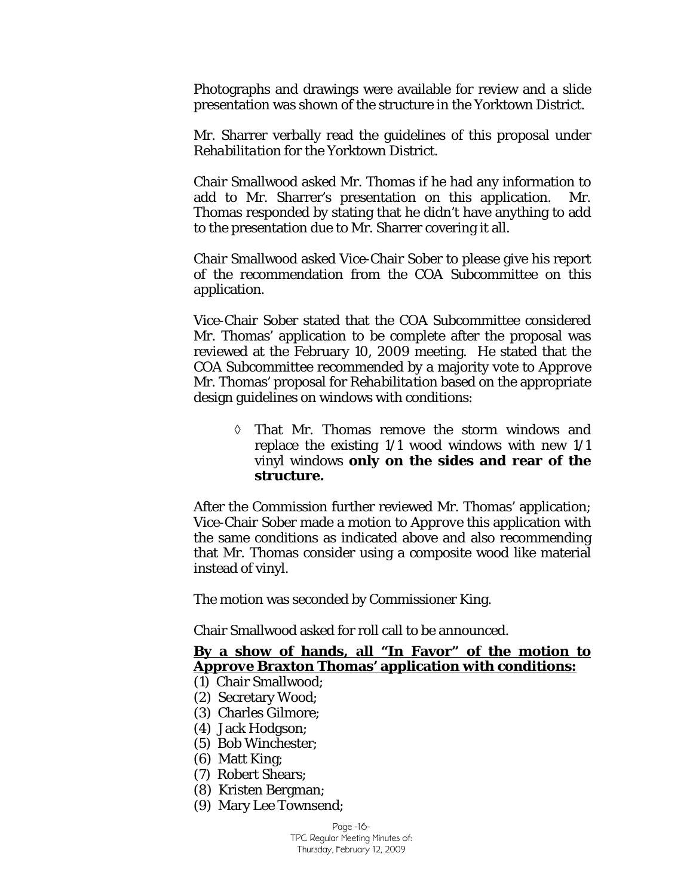Photographs and drawings were available for review and a slide presentation was shown of the structure in the Yorktown District.

Mr. Sharrer verbally read the guidelines of this proposal under *Rehabilitation* for the Yorktown District.

Chair Smallwood asked Mr. Thomas if he had any information to add to Mr. Sharrer's presentation on this application. Mr. Thomas responded by stating that he didn't have anything to add to the presentation due to Mr. Sharrer covering it all.

Chair Smallwood asked Vice-Chair Sober to please give his report of the recommendation from the COA Subcommittee on this application.

Vice-Chair Sober stated that the COA Subcommittee considered Mr. Thomas' application to be complete after the proposal was reviewed at the February 10, 2009 meeting. He stated that the COA Subcommittee recommended by a majority vote to *Approve*  Mr. Thomas' proposal for *Rehabilitation* based on the appropriate design guidelines on windows with conditions:

◊ That Mr. Thomas remove the storm windows and replace the existing 1/1 wood windows with new 1/1 vinyl windows **only on the sides and rear of the structure.** 

After the Commission further reviewed Mr. Thomas' application; Vice-Chair Sober made a motion to *Approve* this application with the same conditions as indicated above and also recommending that Mr. Thomas consider using a composite wood like material instead of vinyl.

The motion was seconded by Commissioner King.

Chair Smallwood asked for roll call to be announced.

### **By a show of hands, all "In Favor" of the motion to**  *Approve* **Braxton Thomas' application with conditions:**

- (1) Chair Smallwood;
- (2) Secretary Wood;
- (3) Charles Gilmore;
- (4) Jack Hodgson;
- (5) Bob Winchester;
- (6) Matt King;
- (7) Robert Shears;
- (8) Kristen Bergman;
- (9) Mary Lee Townsend;

Page -16- TPC Regular Meeting Minutes of: Thursday, February 12, 2009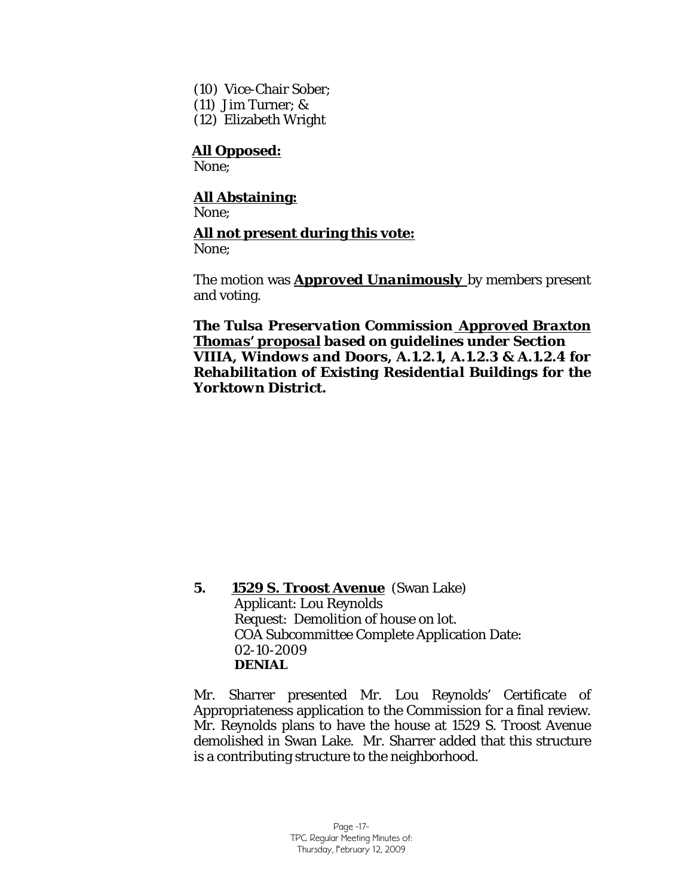- (10) Vice-Chair Sober;
- (11) Jim Turner; &
- (12) Elizabeth Wright

None;

# **All Abstaining:**

None;

# **All not present during this vote:**

None;

The motion was *Approved Unanimously* by members present and voting.

*The Tulsa Preservation Commission Approved Braxton Thomas' proposal based on guidelines under Section VIIIA, Windows and Doors, A.1.2.1, A.1.2.3 & A.1.2.4 for Rehabilitation of Existing Residential Buildings for the Yorktown District.*

**5. 1529 S. Troost Avenue** (Swan Lake) Applicant: Lou Reynolds Request: Demolition of house on lot. COA Subcommittee Complete Application Date: 02-10-2009 *DENIAL*

Mr. Sharrer presented Mr. Lou Reynolds' Certificate of Appropriateness application to the Commission for a final review. Mr. Reynolds plans to have the house at 1529 S. Troost Avenue demolished in Swan Lake. Mr. Sharrer added that this structure is a contributing structure to the neighborhood.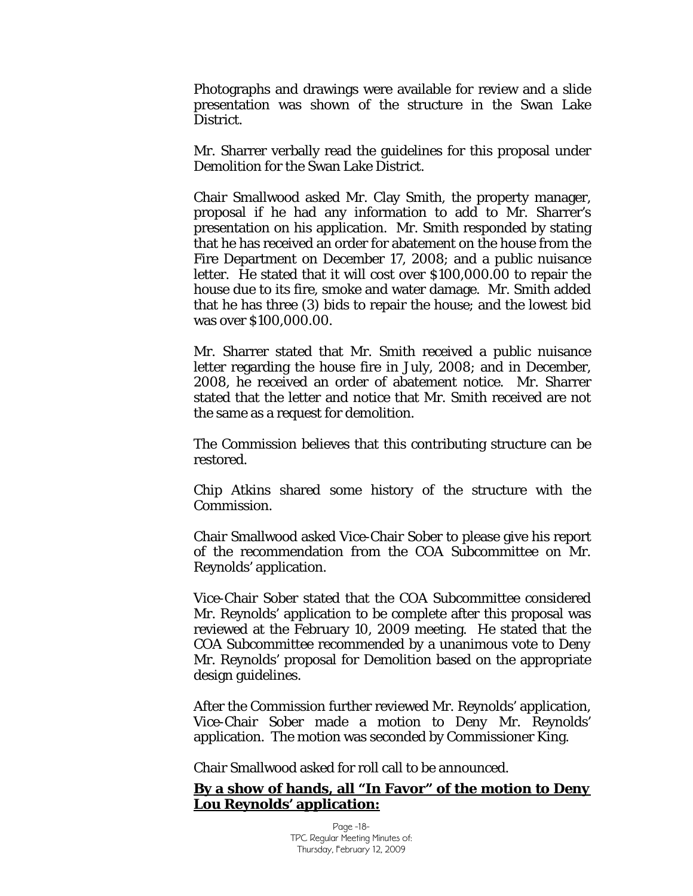Photographs and drawings were available for review and a slide presentation was shown of the structure in the Swan Lake District.

Mr. Sharrer verbally read the guidelines for this proposal under *Demolition* for the Swan Lake District.

Chair Smallwood asked Mr. Clay Smith, the property manager, proposal if he had any information to add to Mr. Sharrer's presentation on his application. Mr. Smith responded by stating that he has received an order for abatement on the house from the Fire Department on December 17, 2008; and a public nuisance letter. He stated that it will cost over \$100,000.00 to repair the house due to its fire, smoke and water damage. Mr. Smith added that he has three (3) bids to repair the house; and the lowest bid was over \$100,000.00.

Mr. Sharrer stated that Mr. Smith received a public nuisance letter regarding the house fire in July, 2008; and in December, 2008, he received an order of abatement notice. Mr. Sharrer stated that the letter and notice that Mr. Smith received are not the same as a request for demolition.

The Commission believes that this contributing structure can be restored.

Chip Atkins shared some history of the structure with the Commission.

Chair Smallwood asked Vice-Chair Sober to please give his report of the recommendation from the COA Subcommittee on Mr. Reynolds' application.

Vice-Chair Sober stated that the COA Subcommittee considered Mr. Reynolds' application to be complete after this proposal was reviewed at the February 10, 2009 meeting. He stated that the COA Subcommittee recommended by a unanimous vote to *Deny*  Mr. Reynolds' proposal for *Demolition* based on the appropriate design guidelines.

After the Commission further reviewed Mr. Reynolds' application, Vice-Chair Sober made a motion to *Deny* Mr. Reynolds' application. The motion was seconded by Commissioner King.

Chair Smallwood asked for roll call to be announced.

### **By a show of hands, all "In Favor" of the motion to** *Deny*  **Lou Reynolds' application:**

Page -18- TPC Regular Meeting Minutes of: Thursday, February 12, 2009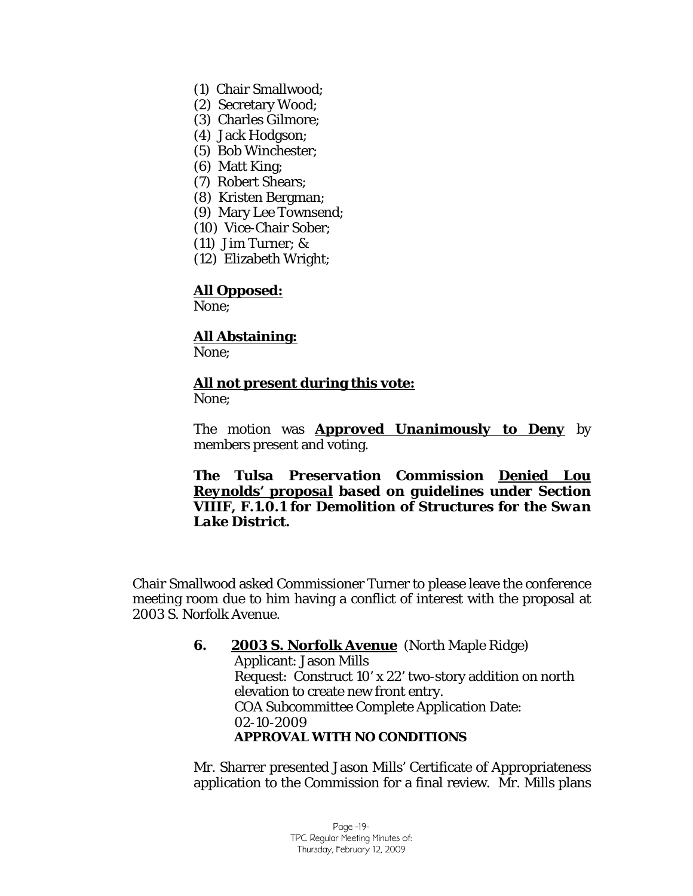- (1) Chair Smallwood;
- (2) Secretary Wood;
- (3) Charles Gilmore;
- (4) Jack Hodgson;
- (5) Bob Winchester;
- (6) Matt King;
- (7) Robert Shears;
- (8) Kristen Bergman;
- (9) Mary Lee Townsend;
- (10) Vice-Chair Sober;
- (11) Jim Turner; &
- (12) Elizabeth Wright;

None;

# **All Abstaining:**

None;

# **All not present during this vote:**

None;

The motion was *Approved Unanimously to Deny* by members present and voting.

### *The Tulsa Preservation Commission Denied Lou Reynolds' proposal based on guidelines under Section VIIIF, F.1.0.1 for Demolition of Structures for the Swan Lake District.*

Chair Smallwood asked Commissioner Turner to please leave the conference meeting room due to him having a *conflict of interest* with the proposal at 2003 S. Norfolk Avenue.

### **6. 2003 S. Norfolk Avenue** (North Maple Ridge) Applicant: Jason Mills Request: Construct 10' x 22' two-story addition on north elevation to create new front entry. COA Subcommittee Complete Application Date: 02-10-2009 *APPROVAL WITH NO CONDITIONS*

Mr. Sharrer presented Jason Mills' Certificate of Appropriateness application to the Commission for a final review. Mr. Mills plans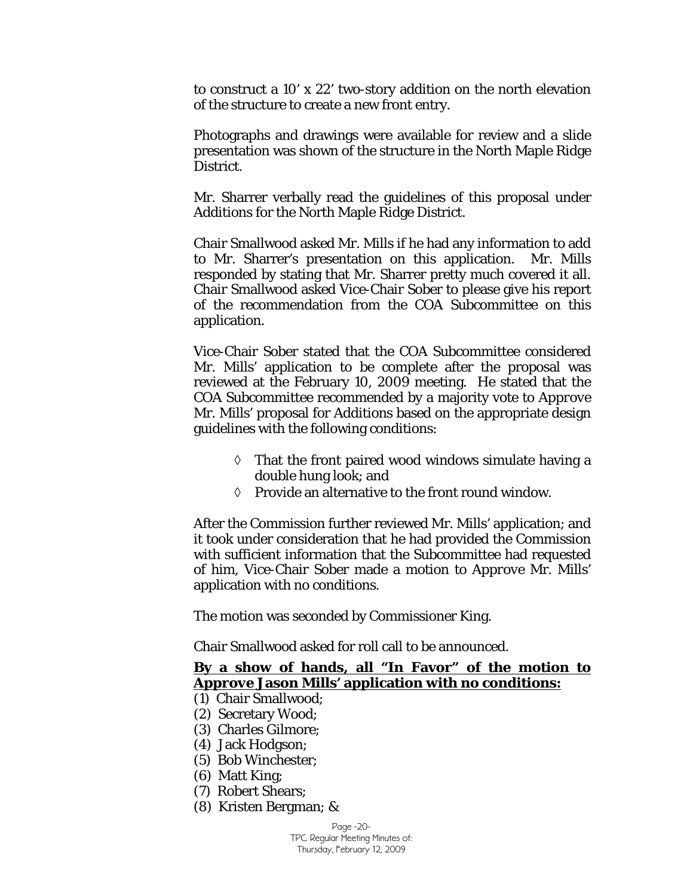to construct a 10' x 22' two-story addition on the north elevation of the structure to create a new front entry.

Photographs and drawings were available for review and a slide presentation was shown of the structure in the North Maple Ridge District.

Mr. Sharrer verbally read the guidelines of this proposal under *Additions* for the North Maple Ridge District.

Chair Smallwood asked Mr. Mills if he had any information to add to Mr. Sharrer's presentation on this application. Mr. Mills responded by stating that Mr. Sharrer pretty much covered it all. Chair Smallwood asked Vice-Chair Sober to please give his report of the recommendation from the COA Subcommittee on this application.

Vice-Chair Sober stated that the COA Subcommittee considered Mr. Mills' application to be complete after the proposal was reviewed at the February 10, 2009 meeting. He stated that the COA Subcommittee recommended by a majority vote to *Approve*  Mr. Mills' proposal for *Additions* based on the appropriate design guidelines with the following conditions:

- $\Diamond$  That the front paired wood windows simulate having a double hung look; and
- ◊ Provide an alternative to the front round window.

After the Commission further reviewed Mr. Mills' application; and it took under consideration that he had provided the Commission with sufficient information that the Subcommittee had requested of him, Vice-Chair Sober made a motion to *Approve* Mr. Mills' application with no conditions.

The motion was seconded by Commissioner King.

Chair Smallwood asked for roll call to be announced.

### **By a show of hands, all "In Favor" of the motion to**  *Approve* **Jason Mills' application with no conditions:**

- (1) Chair Smallwood;
- (2) Secretary Wood;
- (3) Charles Gilmore;
- (4) Jack Hodgson;
- (5) Bob Winchester;
- (6) Matt King;
- (7) Robert Shears;
- (8) Kristen Bergman; &

Page -20- TPC Regular Meeting Minutes of: Thursday, February 12, 2009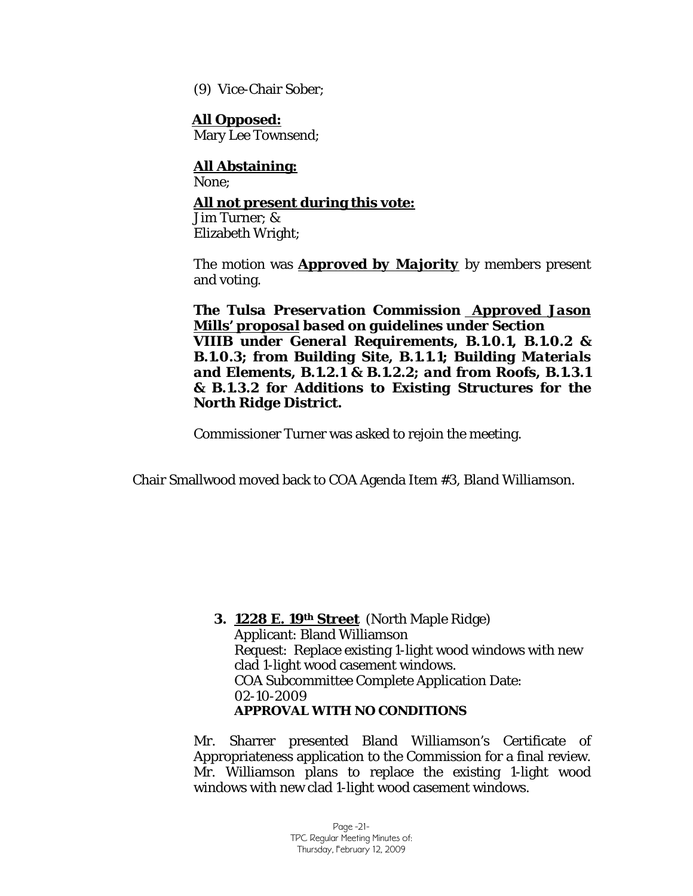(9) Vice-Chair Sober;

 **All Opposed:** Mary Lee Townsend;

 **All Abstaining:** None; **All not present during this vote:** Jim Turner; & Elizabeth Wright;

The motion was *Approved by Majority* by members present and voting.

*The Tulsa Preservation Commission Approved Jason Mills' proposal based on guidelines under Section VIIIB under General Requirements, B.1.0.1, B.1.0.2 & B.1.0.3; from Building Site, B.1.1.1; Building Materials and Elements, B.1.2.1 & B.1.2.2; and from Roofs, B.1.3.1 & B.1.3.2 for Additions to Existing Structures for the North Ridge District.*

Commissioner Turner was asked to rejoin the meeting.

Chair Smallwood moved back to COA Agenda Item #3, Bland Williamson.

**3. 1228 E. 19th Street** (North Maple Ridge) Applicant: Bland Williamson Request: Replace existing 1-light wood windows with new clad 1-light wood casement windows. COA Subcommittee Complete Application Date: 02-10-2009 *APPROVAL WITH NO CONDITIONS*

Mr. Sharrer presented Bland Williamson's Certificate of Appropriateness application to the Commission for a final review. Mr. Williamson plans to replace the existing 1-light wood windows with new clad 1-light wood casement windows.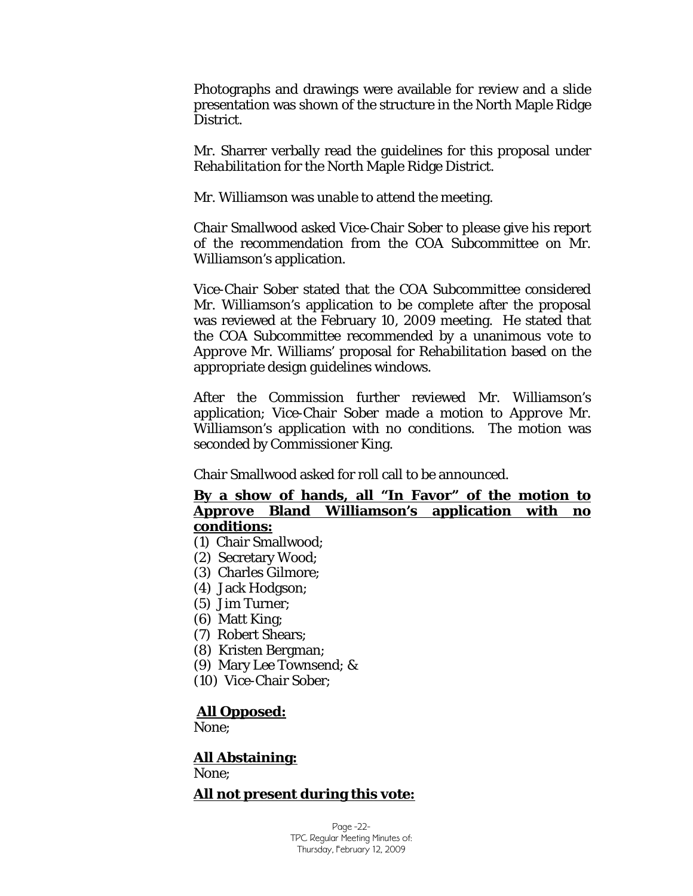Photographs and drawings were available for review and a slide presentation was shown of the structure in the North Maple Ridge District.

Mr. Sharrer verbally read the guidelines for this proposal under *Rehabilitation* for the North Maple Ridge District.

Mr. Williamson was unable to attend the meeting.

Chair Smallwood asked Vice-Chair Sober to please give his report of the recommendation from the COA Subcommittee on Mr. Williamson's application.

Vice-Chair Sober stated that the COA Subcommittee considered Mr. Williamson's application to be complete after the proposal was reviewed at the February 10, 2009 meeting. He stated that the COA Subcommittee recommended by a unanimous vote to *Approve* Mr. Williams' proposal for *Rehabilitation* based on the appropriate design guidelines windows.

After the Commission further reviewed Mr. Williamson's application; Vice-Chair Sober made a motion to *Approve* Mr. Williamson's application with no conditions. The motion was seconded by Commissioner King.

Chair Smallwood asked for roll call to be announced.

### **By a show of hands, all "In Favor" of the motion to**  *Approve* **Bland Williamson's application with no conditions:**

- (1) Chair Smallwood;
- (2) Secretary Wood;
- (3) Charles Gilmore;
- (4) Jack Hodgson;
- (5) Jim Turner;
- (6) Matt King;
- (7) Robert Shears;
- (8) Kristen Bergman;
- (9) Mary Lee Townsend; &
- (10) Vice-Chair Sober;

### **All Opposed:**

None;

### **All Abstaining:** None;

### **All not present during this vote:**

Page -22- TPC Regular Meeting Minutes of: Thursday, February 12, 2009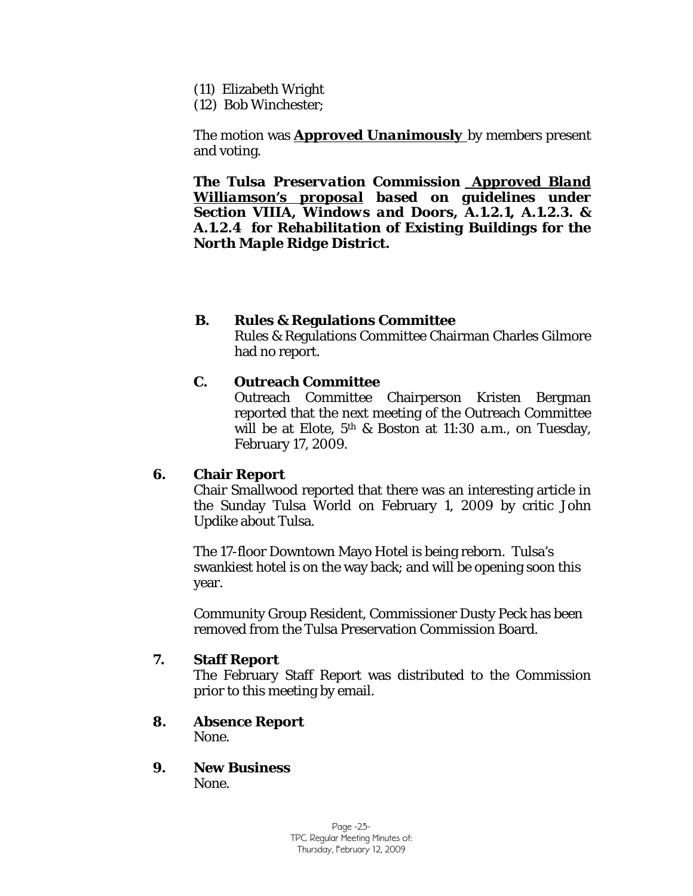- (11) Elizabeth Wright
- (12) Bob Winchester;

The motion was *Approved Unanimously* by members present and voting.

*The Tulsa Preservation Commission Approved Bland Williamson's proposal based on guidelines under Section VIIIA, Windows and Doors, A.1.2.1, A.1.2.3. & A.1.2.4 for Rehabilitation of Existing Buildings for the North Maple Ridge District.*

### **B. Rules & Regulations Committee**

Rules & Regulations Committee Chairman Charles Gilmore had no report.

### **C. Outreach Committee**

Outreach Committee Chairperson Kristen Bergman reported that the next meeting of the Outreach Committee will be at Elote, 5th & Boston at 11:30 a.m., on Tuesday, February 17, 2009.

### **6. Chair Report**

Chair Smallwood reported that there was an interesting article in the Sunday Tulsa World on February 1, 2009 by critic John Updike about Tulsa.

The 17-floor Downtown Mayo Hotel is being reborn. Tulsa's swankiest hotel is on the way back; and will be opening soon this year.

Community Group Resident, Commissioner Dusty Peck has been removed from the Tulsa Preservation Commission Board.

### **7. Staff Report**

The February Staff Report was distributed to the Commission prior to this meeting by email.

- **8. Absence Report** None.
- **9. New Business** None.